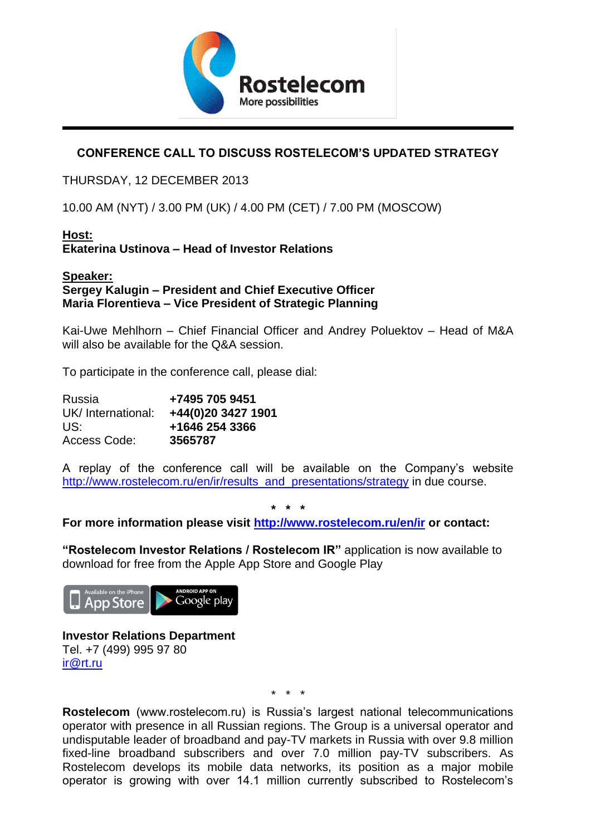

## **CONFERENCE CALL TO DISCUSS ROSTELECOM'S UPDATED STRATEGY**

### THURSDAY, 12 DECEMBER 2013

10.00 AM (NYT) / 3.00 PM (UK) / 4.00 PM (CET) / 7.00 PM (MOSCOW)

# **Host:**

**Ekaterina Ustinova – Head of Investor Relations**

#### **Speaker: Sergey Kalugin – President and Chief Executive Officer Maria Florentieva – Vice President of Strategic Planning**

Kai-Uwe Mehlhorn – Chief Financial Officer and Andrey Poluektov – Head of M&A will also be available for the Q&A session.

To participate in the conference call, please dial:

| Russia            | +7495 705 9451     |
|-------------------|--------------------|
| UK/International: | +44(0)20 3427 1901 |
| US:               | +1646 254 3366     |
| Access Code:      | 3565787            |

A replay of the conference call will be available on the Company's website http://www.rostelecom.ru/en/ir/results\_and\_presentations/strategy in due course.

**\* \* \***

**For more information please visit<http://www.rostelecom.ru/en/ir> or contact:**

**"Rostelecom Investor Relations / Rostelecom IR"** application is now available to download for free from the Apple App Store and Google Play



#### **Investor Relations Department** Tel. +7 (499) 995 97 80 [ir@rt.ru](mailto:ir@rt.ru)

\* \* \*

**Rostelecom** (www.rostelecom.ru) is Russia's largest national telecommunications operator with presence in all Russian regions. The Group is a universal operator and undisputable leader of broadband and pay-TV markets in Russia with over 9.8 million fixed-line broadband subscribers and over 7.0 million pay-TV subscribers. As Rostelecom develops its mobile data networks, its position as a major mobile operator is growing with over 14.1 million currently subscribed to Rostelecom's